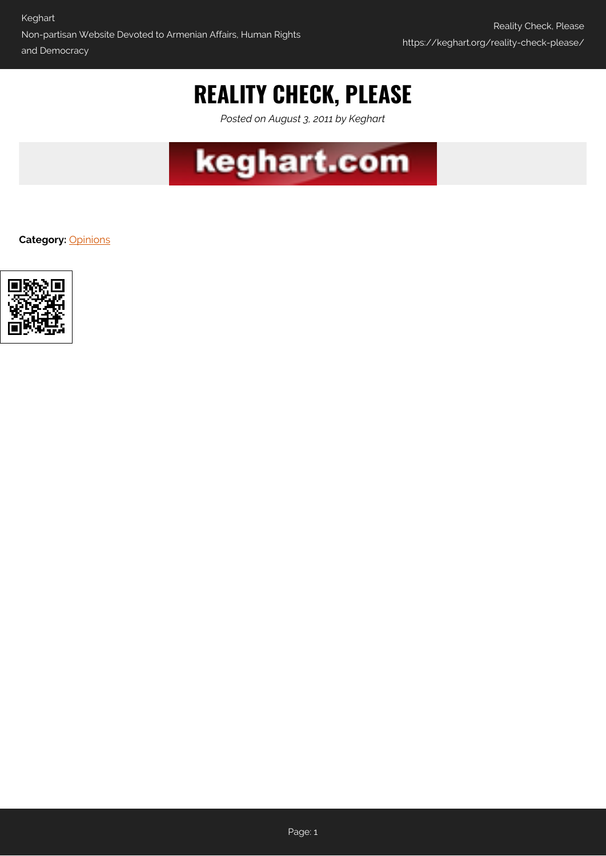# **REALITY CHECK, PLEASE**

*Posted on August 3, 2011 by Keghart*



**Category:** [Opinions](https://keghart.org/category/opinions/)

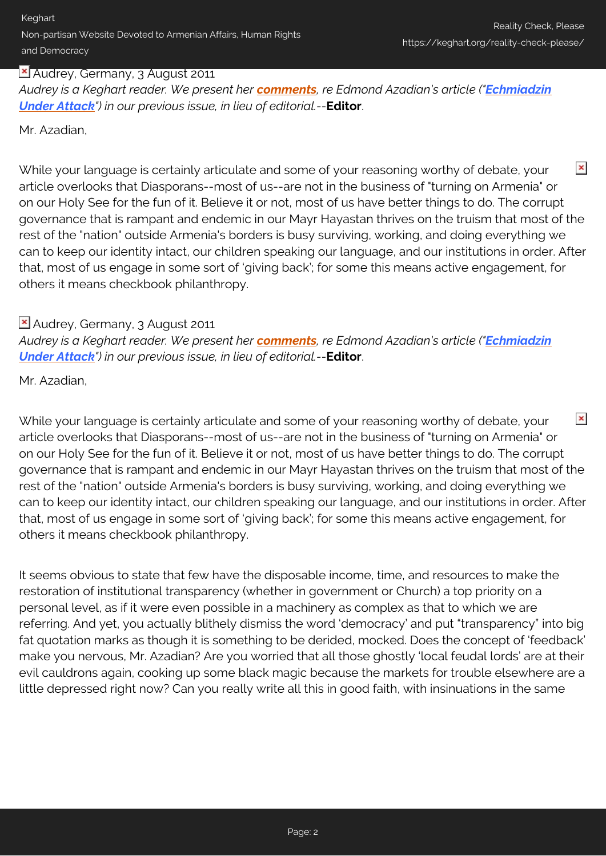### **X** Audrey, Germany, 3 August 2011

*Audrey is a Keghart reader. We present her [comments](http://www.keghart.com/Azadian-Echmiadzin#comment-7277), re Edmond Azadian's article ("[Echmiadzin](http://www.keghart.com/Azadian-Echmiadzin) [Under Attack](http://www.keghart.com/Azadian-Echmiadzin)") in our previous issue, in lieu of editorial.--***Editor**.

Mr. Azadian,

 $\pmb{\times}$ While your language is certainly articulate and some of your reasoning worthy of debate, your article overlooks that Diasporans--most of us--are not in the business of "turning on Armenia" or on our Holy See for the fun of it. Believe it or not, most of us have better things to do. The corrupt governance that is rampant and endemic in our Mayr Hayastan thrives on the truism that most of the rest of the "nation" outside Armenia's borders is busy surviving, working, and doing everything we can to keep our identity intact, our children speaking our language, and our institutions in order. After that, most of us engage in some sort of 'giving back'; for some this means active engagement, for others it means checkbook philanthropy.

## Audrey, Germany, 3 August 2011

*Audrey is a Keghart reader. We present her [comments](http://www.keghart.com/Azadian-Echmiadzin#comment-7277), re Edmond Azadian's article ("[Echmiadzin](http://www.keghart.com/Azadian-Echmiadzin) [Under Attack](http://www.keghart.com/Azadian-Echmiadzin)") in our previous issue, in lieu of editorial.--***Editor**.

Mr. Azadian,

 $\pmb{\times}$ While your language is certainly articulate and some of your reasoning worthy of debate, your article overlooks that Diasporans--most of us--are not in the business of "turning on Armenia" or on our Holy See for the fun of it. Believe it or not, most of us have better things to do. The corrupt governance that is rampant and endemic in our Mayr Hayastan thrives on the truism that most of the rest of the "nation" outside Armenia's borders is busy surviving, working, and doing everything we can to keep our identity intact, our children speaking our language, and our institutions in order. After that, most of us engage in some sort of 'giving back'; for some this means active engagement, for others it means checkbook philanthropy.

It seems obvious to state that few have the disposable income, time, and resources to make the restoration of institutional transparency (whether in government or Church) a top priority on a personal level, as if it were even possible in a machinery as complex as that to which we are referring. And yet, you actually blithely dismiss the word 'democracy' and put "transparency" into big fat quotation marks as though it is something to be derided, mocked. Does the concept of 'feedback' make you nervous, Mr. Azadian? Are you worried that all those ghostly 'local feudal lords' are at their evil cauldrons again, cooking up some black magic because the markets for trouble elsewhere are a little depressed right now? Can you really write all this in good faith, with insinuations in the same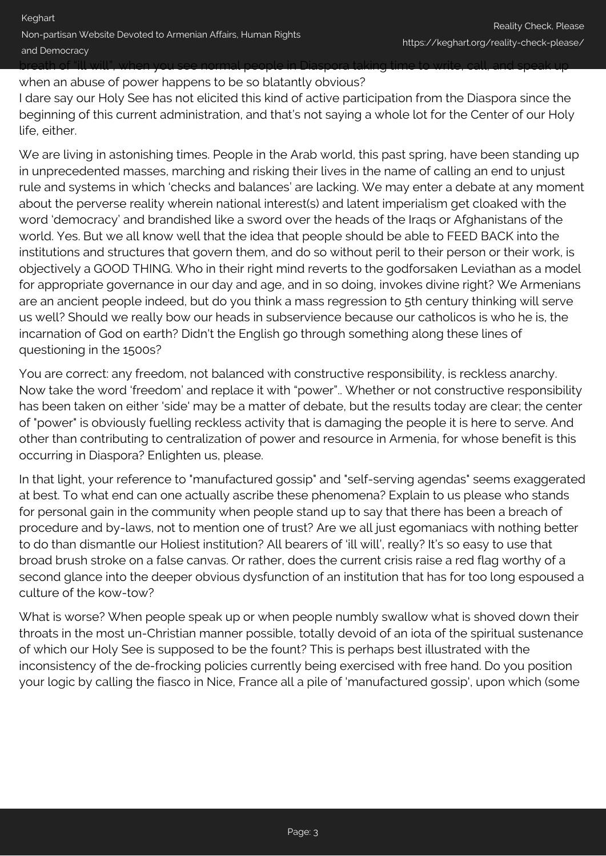when an abuse of power happens to be so blatantly obvious?

I dare say our Holy See has not elicited this kind of active participation from the Diaspora since the beginning of this current administration, and that's not saying a whole lot for the Center of our Holy life, either.

We are living in astonishing times. People in the Arab world, this past spring, have been standing up in unprecedented masses, marching and risking their lives in the name of calling an end to unjust rule and systems in which 'checks and balances' are lacking. We may enter a debate at any moment about the perverse reality wherein national interest(s) and latent imperialism get cloaked with the word 'democracy' and brandished like a sword over the heads of the Iraqs or Afghanistans of the world. Yes. But we all know well that the idea that people should be able to FEED BACK into the institutions and structures that govern them, and do so without peril to their person or their work, is objectively a GOOD THING. Who in their right mind reverts to the godforsaken Leviathan as a model for appropriate governance in our day and age, and in so doing, invokes divine right? We Armenians are an ancient people indeed, but do you think a mass regression to 5th century thinking will serve us well? Should we really bow our heads in subservience because our catholicos is who he is, the incarnation of God on earth? Didn't the English go through something along these lines of questioning in the 1500s?

You are correct: any freedom, not balanced with constructive responsibility, is reckless anarchy. Now take the word 'freedom' and replace it with "power".. Whether or not constructive responsibility has been taken on either 'side' may be a matter of debate, but the results today are clear; the center of "power" is obviously fuelling reckless activity that is damaging the people it is here to serve. And other than contributing to centralization of power and resource in Armenia, for whose benefit is this occurring in Diaspora? Enlighten us, please.

In that light, your reference to "manufactured gossip" and "self-serving agendas" seems exaggerated at best. To what end can one actually ascribe these phenomena? Explain to us please who stands for personal gain in the community when people stand up to say that there has been a breach of procedure and by-laws, not to mention one of trust? Are we all just egomaniacs with nothing better to do than dismantle our Holiest institution? All bearers of 'ill will', really? It's so easy to use that broad brush stroke on a false canvas. Or rather, does the current crisis raise a red flag worthy of a second glance into the deeper obvious dysfunction of an institution that has for too long espoused a culture of the kow-tow?

What is worse? When people speak up or when people numbly swallow what is shoved down their throats in the most un-Christian manner possible, totally devoid of an iota of the spiritual sustenance of which our Holy See is supposed to be the fount? This is perhaps best illustrated with the inconsistency of the de-frocking policies currently being exercised with free hand. Do you position your logic by calling the fiasco in Nice, France all a pile of 'manufactured gossip', upon which (some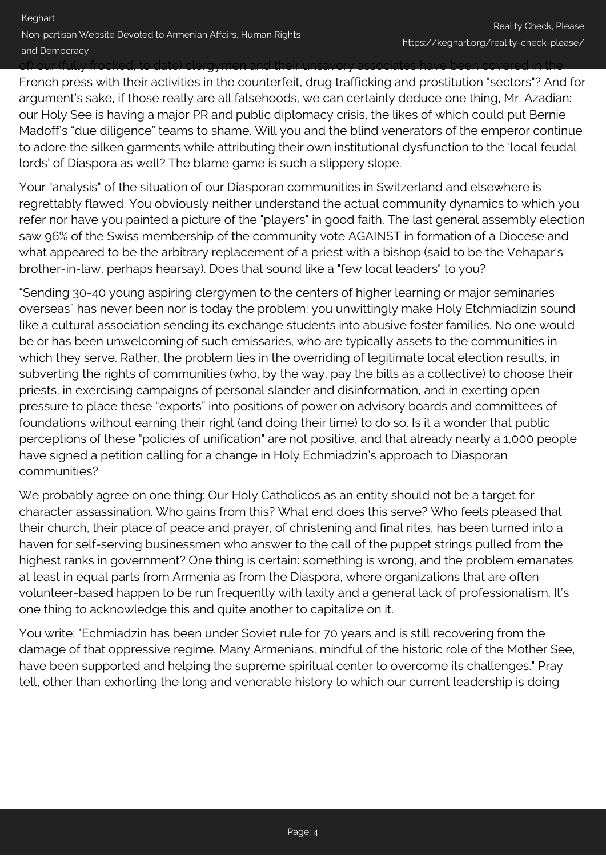#### of) our (fully frocked, to date) clergymen and their unsavory associates have been covered in the

French press with their activities in the counterfeit, drug trafficking and prostitution "sectors"? And for argument's sake, if those really are all falsehoods, we can certainly deduce one thing, Mr. Azadian: our Holy See is having a major PR and public diplomacy crisis, the likes of which could put Bernie Madoff's "due diligence" teams to shame. Will you and the blind venerators of the emperor continue to adore the silken garments while attributing their own institutional dysfunction to the 'local feudal lords' of Diaspora as well? The blame game is such a slippery slope.

Your "analysis" of the situation of our Diasporan communities in Switzerland and elsewhere is regrettably flawed. You obviously neither understand the actual community dynamics to which you refer nor have you painted a picture of the "players" in good faith. The last general assembly election saw 96% of the Swiss membership of the community vote AGAINST in formation of a Diocese and what appeared to be the arbitrary replacement of a priest with a bishop (said to be the Vehapar's brother-in-law, perhaps hearsay). Does that sound like a "few local leaders" to you?

"Sending 30-40 young aspiring clergymen to the centers of higher learning or major seminaries overseas" has never been nor is today the problem; you unwittingly make Holy Etchmiadizin sound like a cultural association sending its exchange students into abusive foster families. No one would be or has been unwelcoming of such emissaries, who are typically assets to the communities in which they serve. Rather, the problem lies in the overriding of legitimate local election results, in subverting the rights of communities (who, by the way, pay the bills as a collective) to choose their priests, in exercising campaigns of personal slander and disinformation, and in exerting open pressure to place these "exports" into positions of power on advisory boards and committees of foundations without earning their right (and doing their time) to do so. Is it a wonder that public perceptions of these "policies of unification" are not positive, and that already nearly a 1,000 people have signed a petition calling for a change in Holy Echmiadzin's approach to Diasporan communities?

We probably agree on one thing: Our Holy Catholicos as an entity should not be a target for character assassination. Who gains from this? What end does this serve? Who feels pleased that their church, their place of peace and prayer, of christening and final rites, has been turned into a haven for self-serving businessmen who answer to the call of the puppet strings pulled from the highest ranks in government? One thing is certain: something is wrong, and the problem emanates at least in equal parts from Armenia as from the Diaspora, where organizations that are often volunteer-based happen to be run frequently with laxity and a general lack of professionalism. It's one thing to acknowledge this and quite another to capitalize on it.

You write: "Echmiadzin has been under Soviet rule for 70 years and is still recovering from the damage of that oppressive regime. Many Armenians, mindful of the historic role of the Mother See, have been supported and helping the supreme spiritual center to overcome its challenges." Pray tell, other than exhorting the long and venerable history to which our current leadership is doing